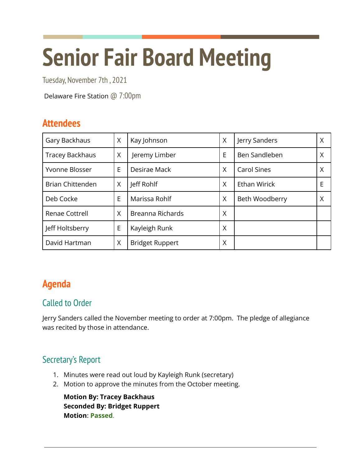# **Senior Fair Board Meeting**

Tuesday, November 7th , 2021

Delaware Fire Station @ 7:00pm

## **Attendees**

| Gary Backhaus           | X | Kay Johnson            | X | Jerry Sanders       | Χ |
|-------------------------|---|------------------------|---|---------------------|---|
| <b>Tracey Backhaus</b>  | X | Jeremy Limber          | E | Ben Sandleben       | Χ |
| Yvonne Blosser          | E | Desirae Mack           | X | <b>Carol Sines</b>  | Χ |
| <b>Brian Chittenden</b> | X | Jeff Rohlf             | X | <b>Ethan Wirick</b> | E |
| Deb Cocke               | E | Marissa Rohlf          | X | Beth Woodberry      | X |
| <b>Renae Cottrell</b>   | X | Breanna Richards       | X |                     |   |
| Jeff Holtsberry         | E | Kayleigh Runk          | X |                     |   |
| David Hartman           | X | <b>Bridget Ruppert</b> | Χ |                     |   |

# **Agenda**

### Called to Order

Jerry Sanders called the November meeting to order at 7:00pm. The pledge of allegiance was recited by those in attendance.

## Secretary's Report

- 1. Minutes were read out loud by Kayleigh Runk (secretary)
- 2. Motion to approve the minutes from the October meeting.

**Motion By: Tracey Backhaus Seconded By: Bridget Ruppert Motion: Passed**.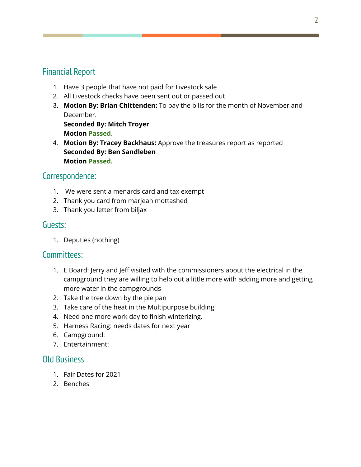#### Financial Report

- 1. Have 3 people that have not paid for Livestock sale
- 2. All Livestock checks have been sent out or passed out
- 3. **Motion By: Brian Chittenden:** To pay the bills for the month of November and December.

**Seconded By: Mitch Troyer Motion Passed**.

4. **Motion By: Tracey Backhaus:** Approve the treasures report as reported **Seconded By: Ben Sandleben Motion Passed.**

## Correspondence:

- 1. We were sent a menards card and tax exempt
- 2. Thank you card from marjean mottashed
- 3. Thank you letter from biljax

#### Guests:

1. Deputies (nothing)

#### Committees:

- 1. E Board: Jerry and Jeff visited with the commissioners about the electrical in the campground they are willing to help out a little more with adding more and getting more water in the campgrounds
- 2. Take the tree down by the pie pan
- 3. Take care of the heat in the Multipurpose building
- 4. Need one more work day to finish winterizing.
- 5. Harness Racing: needs dates for next year
- 6. Campground:
- 7. Entertainment:

#### Old Business

- 1. Fair Dates for 2021
- 2. Benches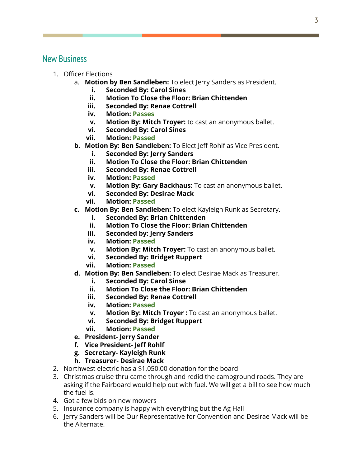#### New Business

- 1. Officer Elections
	- a. **Motion by Ben Sandleben:** To elect Jerry Sanders as President.
		- **i. Seconded By: Carol Sines**
		- **ii. Motion To Close the Floor: Brian Chittenden**
		- **iii. Seconded By: Renae Cottrell**
		- **iv. Motion: Passes**
		- **v. Motion By: Mitch Troyer:** to cast an anonymous ballet.
		- **vi. Seconded By: Carol Sines**
		- **vii. Motion: Passed**
	- **b. Motion By: Ben Sandleben:** To Elect Jeff Rohlf as Vice President.
		- **i. Seconded By: Jerry Sanders**
		- **ii. Motion To Close the Floor: Brian Chittenden**
		- **iii. Seconded By: Renae Cottrell**
		- **iv. Motion: Passed**
		- **v. Motion By: Gary Backhaus:** To cast an anonymous ballet.
		- **vi. Seconded By: Desirae Mack**
		- **vii. Motion: Passed**
	- **c. Motion By: Ben Sandleben:** To elect Kayleigh Runk as Secretary.
		- **i. Seconded By: Brian Chittenden**
		- **ii. Motion To Close the Floor: Brian Chittenden**
		- **iii. Seconded by: Jerry Sanders**
		- **iv. Motion: Passed**
		- **v. Motion By: Mitch Troyer:** To cast an anonymous ballet.
		- **vi. Seconded By: Bridget Ruppert**
		- **vii. Motion: Passed**
	- **d. Motion By: Ben Sandleben:** To elect Desirae Mack as Treasurer.
		- **i. Seconded By: Carol Sinse**
		- **ii. Motion To Close the Floor: Brian Chittenden**
		- **iii. Seconded By: Renae Cottrell**
		- **iv. Motion: Passed**
		- **v. Motion By: Mitch Troyer :** To cast an anonymous ballet.
		- **vi. Seconded By: Bridget Ruppert**
		- **vii. Motion: Passed**
	- **e. President- Jerry Sander**
	- **f. Vice President- Jeff Rohlf**
	- **g. Secretary- Kayleigh Runk**
	- **h. Treasurer- Desirae Mack**
- 2. Northwest electric has a \$1,050.00 donation for the board
- 3. Christmas cruise thru came through and redid the campground roads. They are asking if the Fairboard would help out with fuel. We will get a bill to see how much the fuel is.
- 4. Got a few bids on new mowers
- 5. Insurance company is happy with everything but the Ag Hall
- 6. Jerry Sanders will be Our Representative for Convention and Desirae Mack will be the Alternate.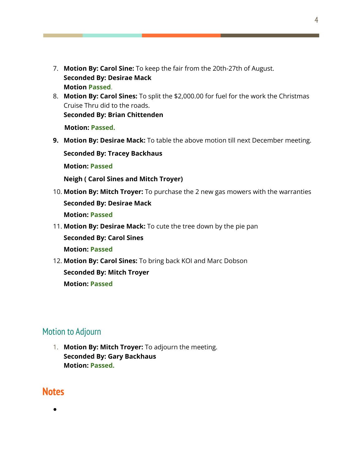- 7. **Motion By: Carol Sine:** To keep the fair from the 20th-27th of August. **Seconded By: Desirae Mack Motion Passed**.
- 8. **Motion By: Carol Sines:** To split the \$2,000.00 for fuel for the work the Christmas Cruise Thru did to the roads. **Seconded By: Brian Chittenden**

**Motion: Passed.**

**9. Motion By: Desirae Mack:** To table the above motion till next December meeting.

**Seconded By: Tracey Backhaus**

**Motion: Passed**

**Neigh ( Carol Sines and Mitch Troyer)**

- 10. **Motion By: Mitch Troyer:** To purchase the 2 new gas mowers with the warranties **Seconded By: Desirae Mack Motion: Passed**
- 11. **Motion By: Desirae Mack:** To cute the tree down by the pie pan **Seconded By: Carol Sines Motion: Passed**
- 12. **Motion By: Carol Sines:** To bring back KOI and Marc Dobson **Seconded By: Mitch Troyer Motion: Passed**

#### Motion to Adjourn

1. **Motion By: Mitch Troyer:** To adjourn the meeting. **Seconded By: Gary Backhaus Motion: Passed.**

#### **Notes**

●